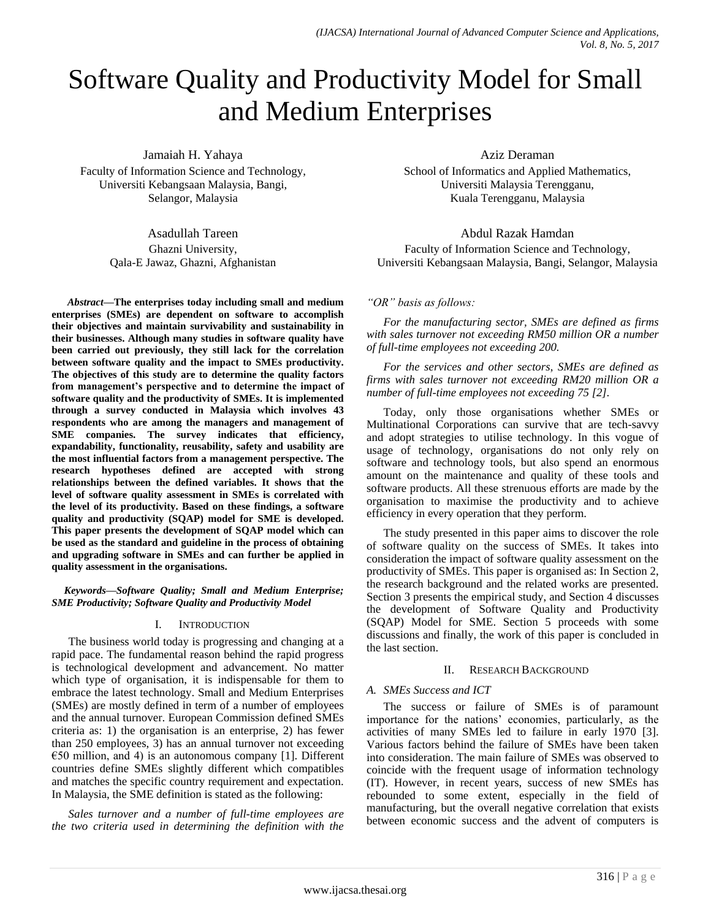# Software Quality and Productivity Model for Small and Medium Enterprises

Jamaiah H. Yahaya

Faculty of Information Science and Technology, Universiti Kebangsaan Malaysia, Bangi, Selangor, Malaysia

> Asadullah Tareen Ghazni University, Qala-E Jawaz, Ghazni, Afghanistan

*Abstract***—The enterprises today including small and medium enterprises (SMEs) are dependent on software to accomplish their objectives and maintain survivability and sustainability in their businesses. Although many studies in software quality have been carried out previously, they still lack for the correlation between software quality and the impact to SMEs productivity. The objectives of this study are to determine the quality factors from management's perspective and to determine the impact of software quality and the productivity of SMEs. It is implemented through a survey conducted in Malaysia which involves 43 respondents who are among the managers and management of SME companies. The survey indicates that efficiency, expandability, functionality, reusability, safety and usability are the most influential factors from a management perspective. The research hypotheses defined are accepted with strong relationships between the defined variables. It shows that the level of software quality assessment in SMEs is correlated with the level of its productivity. Based on these findings, a software quality and productivity (SQAP) model for SME is developed. This paper presents the development of SQAP model which can be used as the standard and guideline in the process of obtaining and upgrading software in SMEs and can further be applied in quality assessment in the organisations.** 

*Keywords—Software Quality; Small and Medium Enterprise; SME Productivity; Software Quality and Productivity Model*

### I. INTRODUCTION

The business world today is progressing and changing at a rapid pace. The fundamental reason behind the rapid progress is technological development and advancement. No matter which type of organisation, it is indispensable for them to embrace the latest technology. Small and Medium Enterprises (SMEs) are mostly defined in term of a number of employees and the annual turnover. European Commission defined SMEs criteria as: 1) the organisation is an enterprise, 2) has fewer than 250 employees, 3) has an annual turnover not exceeding  $\epsilon$ 50 million, and 4) is an autonomous company [1]. Different countries define SMEs slightly different which compatibles and matches the specific country requirement and expectation. In Malaysia, the SME definition is stated as the following:

*Sales turnover and a number of full-time employees are the two criteria used in determining the definition with the*  Aziz Deraman

School of Informatics and Applied Mathematics, Universiti Malaysia Terengganu, Kuala Terengganu, Malaysia

Abdul Razak Hamdan

Faculty of Information Science and Technology, Universiti Kebangsaan Malaysia, Bangi, Selangor, Malaysia

# *"OR" basis as follows:*

*For the manufacturing sector, SMEs are defined as firms with sales turnover not exceeding RM50 million OR a number of full-time employees not exceeding 200.*

*For the services and other sectors, SMEs are defined as firms with sales turnover not exceeding RM20 million OR a number of full-time employees not exceeding 75 [2].*

Today, only those organisations whether SMEs or Multinational Corporations can survive that are tech-savvy and adopt strategies to utilise technology. In this vogue of usage of technology, organisations do not only rely on software and technology tools, but also spend an enormous amount on the maintenance and quality of these tools and software products. All these strenuous efforts are made by the organisation to maximise the productivity and to achieve efficiency in every operation that they perform.

The study presented in this paper aims to discover the role of software quality on the success of SMEs. It takes into consideration the impact of software quality assessment on the productivity of SMEs. This paper is organised as: In Section 2, the research background and the related works are presented. Section 3 presents the empirical study, and Section  $\overline{4}$  discusses the development of Software Quality and Productivity (SQAP) Model for SME. Section 5 proceeds with some discussions and finally, the work of this paper is concluded in the last section.

# II. RESEARCH BACKGROUND

# *A. SMEs Success and ICT*

The success or failure of SMEs is of paramount importance for the nations" economies, particularly, as the activities of many SMEs led to failure in early 1970 [3]. Various factors behind the failure of SMEs have been taken into consideration. The main failure of SMEs was observed to coincide with the frequent usage of information technology (IT). However, in recent years, success of new SMEs has rebounded to some extent, especially in the field of manufacturing, but the overall negative correlation that exists between economic success and the advent of computers is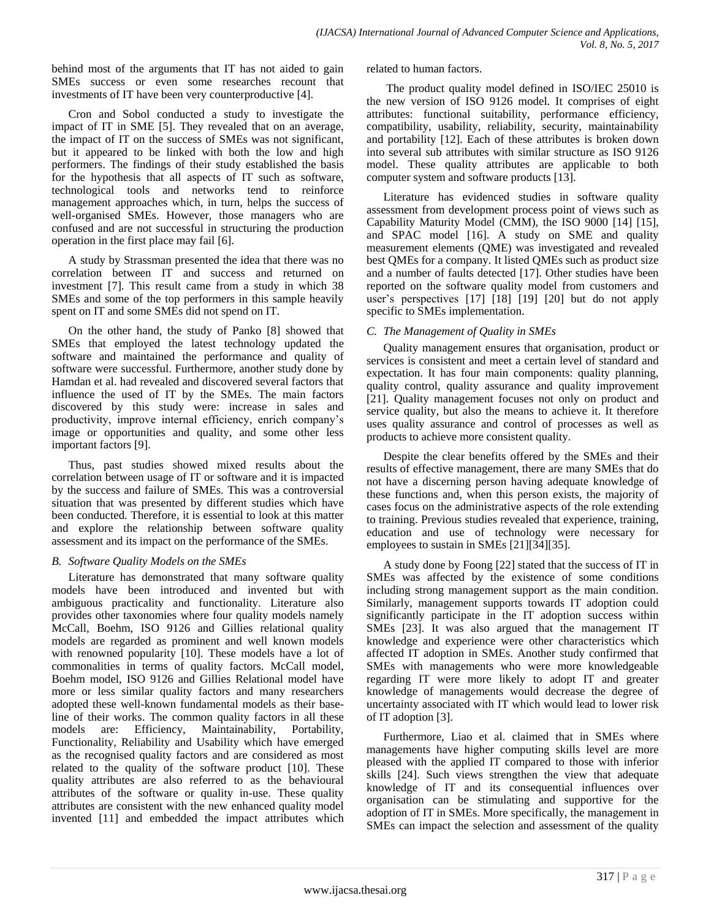behind most of the arguments that IT has not aided to gain SMEs success or even some researches recount that investments of IT have been very counterproductive [4].

Cron and Sobol conducted a study to investigate the impact of IT in SME [5]. They revealed that on an average, the impact of IT on the success of SMEs was not significant, but it appeared to be linked with both the low and high performers. The findings of their study established the basis for the hypothesis that all aspects of IT such as software, technological tools and networks tend to reinforce management approaches which, in turn, helps the success of well-organised SMEs. However, those managers who are confused and are not successful in structuring the production operation in the first place may fail [6].

A study by Strassman presented the idea that there was no correlation between IT and success and returned on investment [7]. This result came from a study in which 38 SMEs and some of the top performers in this sample heavily spent on IT and some SMEs did not spend on IT.

On the other hand, the study of Panko [8] showed that SMEs that employed the latest technology updated the software and maintained the performance and quality of software were successful. Furthermore, another study done by Hamdan et al. had revealed and discovered several factors that influence the used of IT by the SMEs. The main factors discovered by this study were: increase in sales and productivity, improve internal efficiency, enrich company"s image or opportunities and quality, and some other less important factors [9].

Thus, past studies showed mixed results about the correlation between usage of IT or software and it is impacted by the success and failure of SMEs. This was a controversial situation that was presented by different studies which have been conducted. Therefore, it is essential to look at this matter and explore the relationship between software quality assessment and its impact on the performance of the SMEs.

# *B. Software Quality Models on the SMEs*

Literature has demonstrated that many software quality models have been introduced and invented but with ambiguous practicality and functionality. Literature also provides other taxonomies where four quality models namely McCall, Boehm, ISO 9126 and Gillies relational quality models are regarded as prominent and well known models with renowned popularity [10]. These models have a lot of commonalities in terms of quality factors. McCall model, Boehm model, ISO 9126 and Gillies Relational model have more or less similar quality factors and many researchers adopted these well-known fundamental models as their baseline of their works. The common quality factors in all these models are: Efficiency, Maintainability, Portability, Functionality, Reliability and Usability which have emerged as the recognised quality factors and are considered as most related to the quality of the software product [10]. These quality attributes are also referred to as the behavioural attributes of the software or quality in-use. These quality attributes are consistent with the new enhanced quality model invented [11] and embedded the impact attributes which related to human factors.

The product quality model defined in ISO/IEC 25010 is the new version of ISO 9126 model. It comprises of eight attributes: functional suitability, performance efficiency, compatibility, usability, reliability, security, maintainability and portability [12]. Each of these attributes is broken down into several sub attributes with similar structure as ISO 9126 model. These quality attributes are applicable to both computer system and software products [13].

Literature has evidenced studies in software quality assessment from development process point of views such as Capability Maturity Model (CMM), the ISO 9000 [14] [15], and SPAC model [16]. A study on SME and quality measurement elements (QME) was investigated and revealed best QMEs for a company. It listed QMEs such as product size and a number of faults detected [17]. Other studies have been reported on the software quality model from customers and user's perspectives [17] [18] [19] [20] but do not apply specific to SMEs implementation.

# *C. The Management of Quality in SMEs*

Quality management ensures that organisation, product or services is consistent and meet a certain level of standard and expectation. It has four main components: quality planning, quality control, quality assurance and quality improvement [21]. Quality management focuses not only on product and service quality, but also the means to achieve it. It therefore uses quality assurance and control of processes as well as products to achieve more consistent quality.

Despite the clear benefits offered by the SMEs and their results of effective management, there are many SMEs that do not have a discerning person having adequate knowledge of these functions and, when this person exists, the majority of cases focus on the administrative aspects of the role extending to training. Previous studies revealed that experience, training, education and use of technology were necessary for employees to sustain in SMEs [21][34][35].

A study done by Foong [22] stated that the success of IT in SMEs was affected by the existence of some conditions including strong management support as the main condition. Similarly, management supports towards IT adoption could significantly participate in the IT adoption success within SMEs [23]. It was also argued that the management IT knowledge and experience were other characteristics which affected IT adoption in SMEs. Another study confirmed that SMEs with managements who were more knowledgeable regarding IT were more likely to adopt IT and greater knowledge of managements would decrease the degree of uncertainty associated with IT which would lead to lower risk of IT adoption [3].

Furthermore, Liao et al. claimed that in SMEs where managements have higher computing skills level are more pleased with the applied IT compared to those with inferior skills [24]. Such views strengthen the view that adequate knowledge of IT and its consequential influences over organisation can be stimulating and supportive for the adoption of IT in SMEs. More specifically, the management in SMEs can impact the selection and assessment of the quality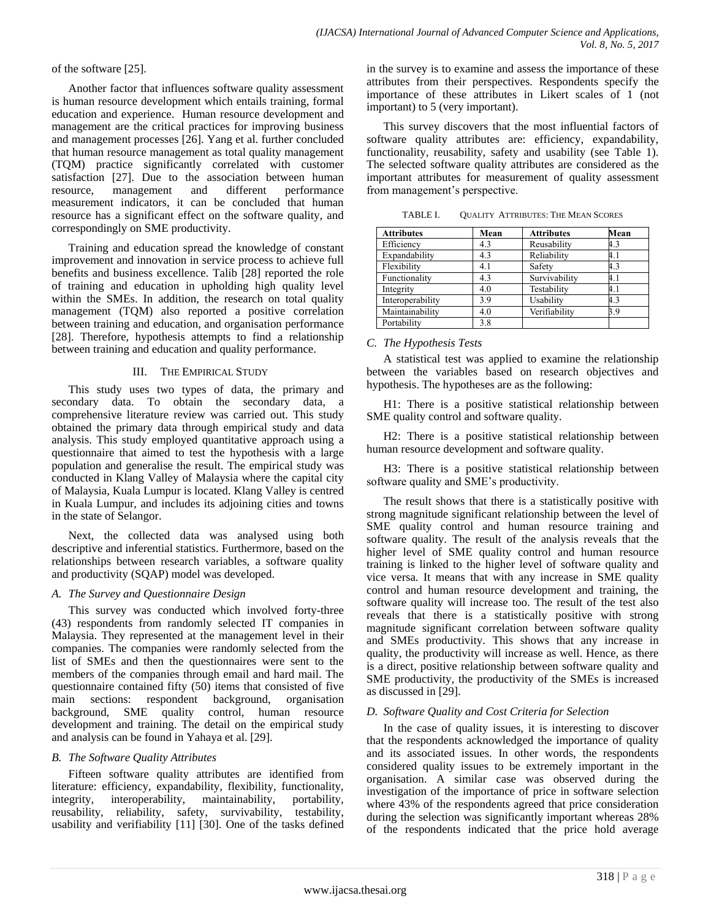of the software [25].

Another factor that influences software quality assessment is human resource development which entails training, formal education and experience. Human resource development and management are the critical practices for improving business and management processes [26]. Yang et al. further concluded that human resource management as total quality management (TQM) practice significantly correlated with customer satisfaction [27]. Due to the association between human resource, management and different performance measurement indicators, it can be concluded that human resource has a significant effect on the software quality, and correspondingly on SME productivity.

Training and education spread the knowledge of constant improvement and innovation in service process to achieve full benefits and business excellence. Talib [28] reported the role of training and education in upholding high quality level within the SMEs. In addition, the research on total quality management (TQM) also reported a positive correlation between training and education, and organisation performance [28]. Therefore, hypothesis attempts to find a relationship between training and education and quality performance.

# III. THE EMPIRICAL STUDY

This study uses two types of data, the primary and secondary data. To obtain the secondary data, a comprehensive literature review was carried out. This study obtained the primary data through empirical study and data analysis. This study employed quantitative approach using a questionnaire that aimed to test the hypothesis with a large population and generalise the result. The empirical study was conducted in Klang Valley of Malaysia where the capital city of Malaysia, Kuala Lumpur is located. Klang Valley is centred in Kuala Lumpur, and includes its adjoining cities and towns in the state of Selangor.

Next, the collected data was analysed using both descriptive and inferential statistics. Furthermore, based on the relationships between research variables, a software quality and productivity (SQAP) model was developed.

# *A. The Survey and Questionnaire Design*

This survey was conducted which involved forty-three (43) respondents from randomly selected IT companies in Malaysia. They represented at the management level in their companies. The companies were randomly selected from the list of SMEs and then the questionnaires were sent to the members of the companies through email and hard mail. The questionnaire contained fifty (50) items that consisted of five main sections: respondent background, organisation background, SME quality control, human resource development and training. The detail on the empirical study and analysis can be found in Yahaya et al. [29].

# *B. The Software Quality Attributes*

Fifteen software quality attributes are identified from literature: efficiency, expandability, flexibility, functionality, integrity, interoperability, maintainability, portability, reusability, reliability, safety, survivability, testability, usability and verifiability [11] [30]. One of the tasks defined in the survey is to examine and assess the importance of these attributes from their perspectives. Respondents specify the importance of these attributes in Likert scales of 1 (not important) to 5 (very important).

This survey discovers that the most influential factors of software quality attributes are: efficiency, expandability, functionality, reusability, safety and usability (see Table 1). The selected software quality attributes are considered as the important attributes for measurement of quality assessment from management's perspective.

| <b>Attributes</b> | Mean | <b>Attributes</b> | Mean |
|-------------------|------|-------------------|------|
| Efficiency        | 4.3  | Reusability       | 4.3  |
| Expandability     | 4.3  | Reliability       | 4.1  |
| Flexibility       | 4.1  | Safety            | 4.3  |
| Functionality     | 4.3  | Survivability     | 4.1  |
| Integrity         | 4.0  | Testability       | 4.1  |
| Interoperability  | 3.9  | Usability         | 4.3  |
| Maintainability   | 4.0  | Verifiability     | 3.9  |
| Portability       | 3.8  |                   |      |

TABLE I. QUALITY ATTRIBUTES: THE MEAN SCORES

# *C. The Hypothesis Tests*

A statistical test was applied to examine the relationship between the variables based on research objectives and hypothesis. The hypotheses are as the following:

H1: There is a positive statistical relationship between SME quality control and software quality.

H2: There is a positive statistical relationship between human resource development and software quality.

H3: There is a positive statistical relationship between software quality and SME's productivity.

The result shows that there is a statistically positive with strong magnitude significant relationship between the level of SME quality control and human resource training and software quality. The result of the analysis reveals that the higher level of SME quality control and human resource training is linked to the higher level of software quality and vice versa. It means that with any increase in SME quality control and human resource development and training, the software quality will increase too. The result of the test also reveals that there is a statistically positive with strong magnitude significant correlation between software quality and SMEs productivity. This shows that any increase in quality, the productivity will increase as well. Hence, as there is a direct, positive relationship between software quality and SME productivity, the productivity of the SMEs is increased as discussed in [29].

# *D. Software Quality and Cost Criteria for Selection*

In the case of quality issues, it is interesting to discover that the respondents acknowledged the importance of quality and its associated issues. In other words, the respondents considered quality issues to be extremely important in the organisation. A similar case was observed during the investigation of the importance of price in software selection where 43% of the respondents agreed that price consideration during the selection was significantly important whereas 28% of the respondents indicated that the price hold average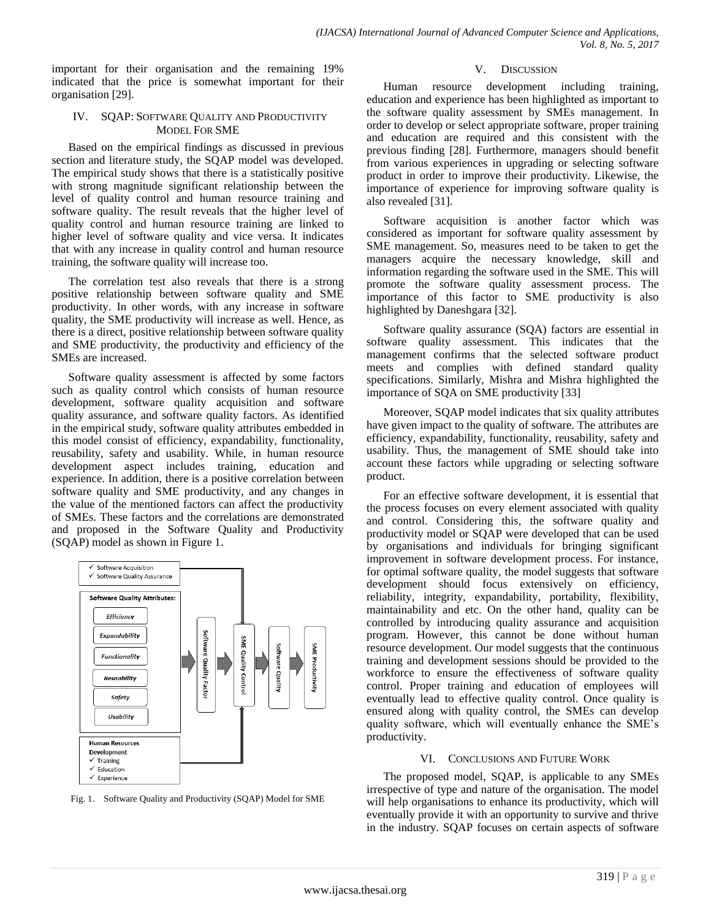important for their organisation and the remaining 19% indicated that the price is somewhat important for their organisation [29].

### IV. SQAP: SOFTWARE QUALITY AND PRODUCTIVITY MODEL FOR SME

Based on the empirical findings as discussed in previous section and literature study, the SQAP model was developed. The empirical study shows that there is a statistically positive with strong magnitude significant relationship between the level of quality control and human resource training and software quality. The result reveals that the higher level of quality control and human resource training are linked to higher level of software quality and vice versa. It indicates that with any increase in quality control and human resource training, the software quality will increase too.

The correlation test also reveals that there is a strong positive relationship between software quality and SME productivity. In other words, with any increase in software quality, the SME productivity will increase as well. Hence, as there is a direct, positive relationship between software quality and SME productivity, the productivity and efficiency of the SMEs are increased.

Software quality assessment is affected by some factors such as quality control which consists of human resource development, software quality acquisition and software quality assurance, and software quality factors. As identified in the empirical study, software quality attributes embedded in this model consist of efficiency, expandability, functionality, reusability, safety and usability. While, in human resource development aspect includes training, education and experience. In addition, there is a positive correlation between software quality and SME productivity, and any changes in the value of the mentioned factors can affect the productivity of SMEs. These factors and the correlations are demonstrated and proposed in the Software Quality and Productivity (SQAP) model as shown in Figure 1.



Fig. 1. Software Quality and Productivity (SQAP) Model for SME

#### V. DISCUSSION

Human resource development including training, education and experience has been highlighted as important to the software quality assessment by SMEs management. In order to develop or select appropriate software, proper training and education are required and this consistent with the previous finding [28]. Furthermore, managers should benefit from various experiences in upgrading or selecting software product in order to improve their productivity. Likewise, the importance of experience for improving software quality is also revealed [31].

Software acquisition is another factor which was considered as important for software quality assessment by SME management. So, measures need to be taken to get the managers acquire the necessary knowledge, skill and information regarding the software used in the SME. This will promote the software quality assessment process. The importance of this factor to SME productivity is also highlighted by Daneshgara [32].

Software quality assurance (SQA) factors are essential in software quality assessment. This indicates that the management confirms that the selected software product meets and complies with defined standard quality specifications. Similarly, Mishra and Mishra highlighted the importance of SQA on SME productivity [33]

Moreover, SQAP model indicates that six quality attributes have given impact to the quality of software. The attributes are efficiency, expandability, functionality, reusability, safety and usability. Thus, the management of SME should take into account these factors while upgrading or selecting software product.

For an effective software development, it is essential that the process focuses on every element associated with quality and control. Considering this, the software quality and productivity model or SQAP were developed that can be used by organisations and individuals for bringing significant improvement in software development process. For instance, for optimal software quality, the model suggests that software development should focus extensively on efficiency, reliability, integrity, expandability, portability, flexibility, maintainability and etc. On the other hand, quality can be controlled by introducing quality assurance and acquisition program. However, this cannot be done without human resource development. Our model suggests that the continuous training and development sessions should be provided to the workforce to ensure the effectiveness of software quality control. Proper training and education of employees will eventually lead to effective quality control. Once quality is ensured along with quality control, the SMEs can develop quality software, which will eventually enhance the SME"s productivity.

#### VI. CONCLUSIONS AND FUTURE WORK

The proposed model, SQAP, is applicable to any SMEs irrespective of type and nature of the organisation. The model will help organisations to enhance its productivity, which will eventually provide it with an opportunity to survive and thrive in the industry. SQAP focuses on certain aspects of software